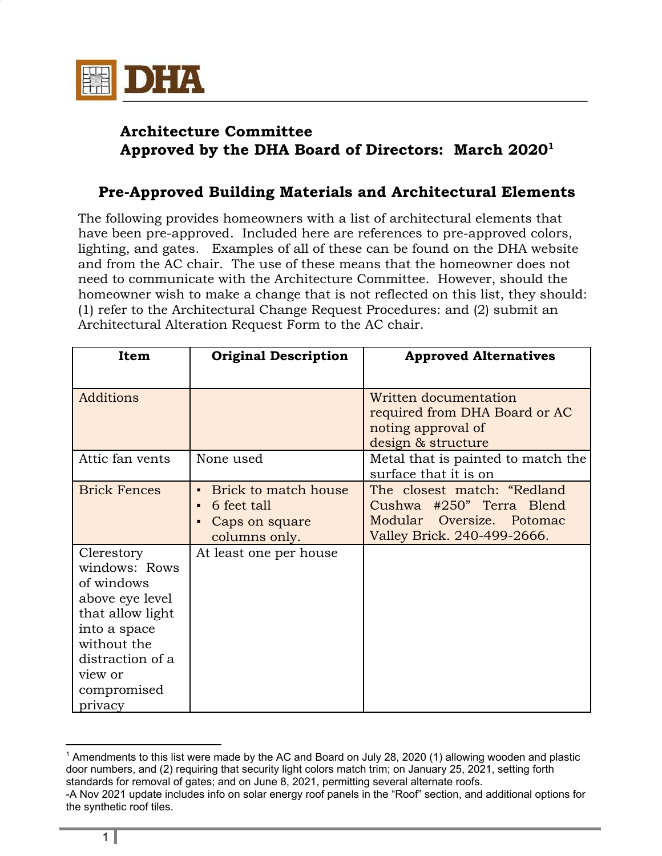

## **Architecture Committee Approved by the DHA Board of Directors: March 2020 1**

## **Pre-Approved Building Materials and Architectural Elements**

The following provides homeowners with a list of architectural elements that have been pre-approved. Included here are references to pre-approved colors, lighting, and gates. Examples of all of these can be found on the DHA website and from the AC chair. The use of these means that the homeowner does not need to communicate with the Architecture Committee. However, should the homeowner wish to make a change that is not reflected on this list, they should: (1) refer to the Architectural Change Request Procedures: and (2) submit an Architectural Alteration Request Form to the AC chair.

| Item                                                                                                                                                                     | <b>Original Description</b>                                                                                | <b>Approved Alternatives</b>                                                                                        |
|--------------------------------------------------------------------------------------------------------------------------------------------------------------------------|------------------------------------------------------------------------------------------------------------|---------------------------------------------------------------------------------------------------------------------|
| <b>Additions</b>                                                                                                                                                         |                                                                                                            | Written documentation<br>required from DHA Board or AC<br>noting approval of<br>design & structure                  |
| Attic fan vents                                                                                                                                                          | None used                                                                                                  | Metal that is painted to match the<br>surface that it is on                                                         |
| <b>Brick Fences</b>                                                                                                                                                      | Brick to match house<br>$\blacksquare$<br>6 feet tall<br>$\blacksquare$<br>Caps on square<br>columns only. | The closest match: "Redland<br>Cushwa #250" Terra Blend<br>Modular Oversize. Potomac<br>Valley Brick. 240-499-2666. |
| Clerestory<br>windows: Rows<br>of windows<br>above eye level<br>that allow light<br>into a space<br>without the<br>distraction of a<br>view or<br>compromised<br>privacy | At least one per house                                                                                     |                                                                                                                     |

<sup>1</sup> Amendments to this list were made by the AC and Board on July 28, 2020 (1) allowing wooden and plastic door numbers, and (2) requiring that security light colors match trim; on January 25, 2021, setting forth standards for removal of gates; and on June 8, 2021, permitting several alternate roofs. -A Nov 2021 update includes info on solar energy roof panels in the "Roof" section, and additional options for the synthetic roof tiles.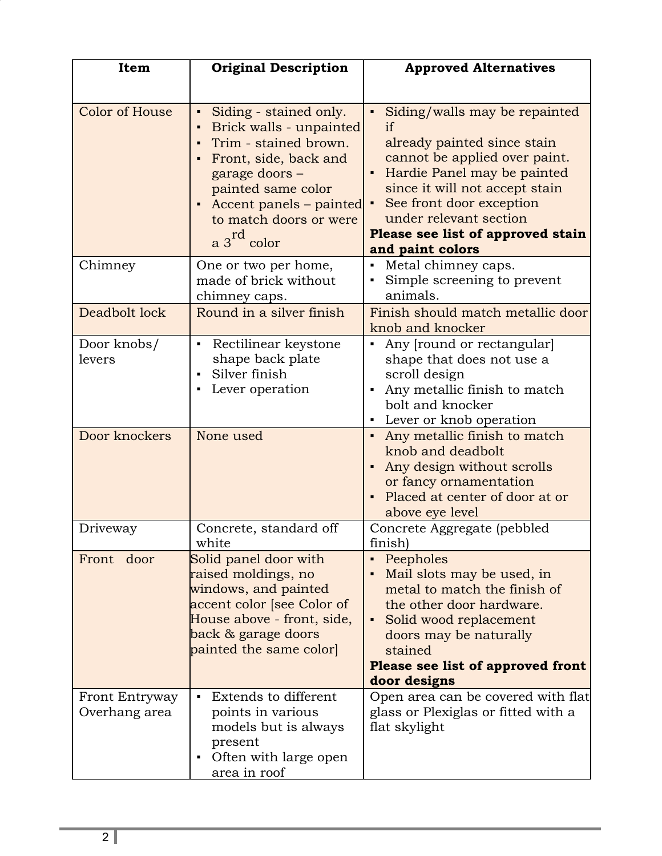| Item                            | <b>Original Description</b>                                                                                                                                                                                                                          | <b>Approved Alternatives</b>                                                                                                                                                                                                                                                        |
|---------------------------------|------------------------------------------------------------------------------------------------------------------------------------------------------------------------------------------------------------------------------------------------------|-------------------------------------------------------------------------------------------------------------------------------------------------------------------------------------------------------------------------------------------------------------------------------------|
| <b>Color of House</b>           | Siding - stained only.<br>٠<br>Brick walls - unpainted<br>Trim - stained brown.<br>$\blacksquare$<br>Front, side, back and<br>garage doors -<br>painted same color<br>Accent panels – painted<br>to match doors or were<br>$a$ 3 <sup>rd</sup> color | Siding/walls may be repainted<br>if<br>already painted since stain<br>cannot be applied over paint.<br>Hardie Panel may be painted<br>since it will not accept stain<br>See front door exception<br>under relevant section<br>Please see list of approved stain<br>and paint colors |
| Chimney                         | One or two per home,<br>made of brick without<br>chimney caps.                                                                                                                                                                                       | Metal chimney caps.<br>$\blacksquare$<br>Simple screening to prevent<br>animals.                                                                                                                                                                                                    |
| Deadbolt lock                   | Round in a silver finish                                                                                                                                                                                                                             | Finish should match metallic door<br>knob and knocker                                                                                                                                                                                                                               |
| Door knobs/<br>levers           | Rectilinear keystone<br>shape back plate<br>Silver finish<br>Lever operation                                                                                                                                                                         | Any [round or rectangular]<br>٠<br>shape that does not use a<br>scroll design<br>Any metallic finish to match<br>bolt and knocker<br>Lever or knob operation<br>٠                                                                                                                   |
| Door knockers                   | None used                                                                                                                                                                                                                                            | Any metallic finish to match<br>$\blacksquare$<br>knob and deadbolt<br>Any design without scrolls<br>or fancy ornamentation<br>Placed at center of door at or<br>above eye level                                                                                                    |
| Driveway                        | Concrete, standard off<br>white                                                                                                                                                                                                                      | Concrete Aggregate (pebbled<br>finish)                                                                                                                                                                                                                                              |
| Front door                      | Solid panel door with<br>raised moldings, no<br>windows, and painted<br>accent color [see Color of<br>House above - front, side,<br>back & garage doors<br>painted the same color                                                                    | Peepholes<br>Mail slots may be used, in<br>metal to match the finish of<br>the other door hardware.<br>Solid wood replacement<br>doors may be naturally<br>stained<br>Please see list of approved front<br>door designs                                                             |
| Front Entryway<br>Overhang area | Extends to different<br>$\blacksquare$<br>points in various                                                                                                                                                                                          | Open area can be covered with flat<br>glass or Plexiglas or fitted with a                                                                                                                                                                                                           |
|                                 | models but is always<br>present<br>Often with large open<br>٠<br>area in roof                                                                                                                                                                        | flat skylight                                                                                                                                                                                                                                                                       |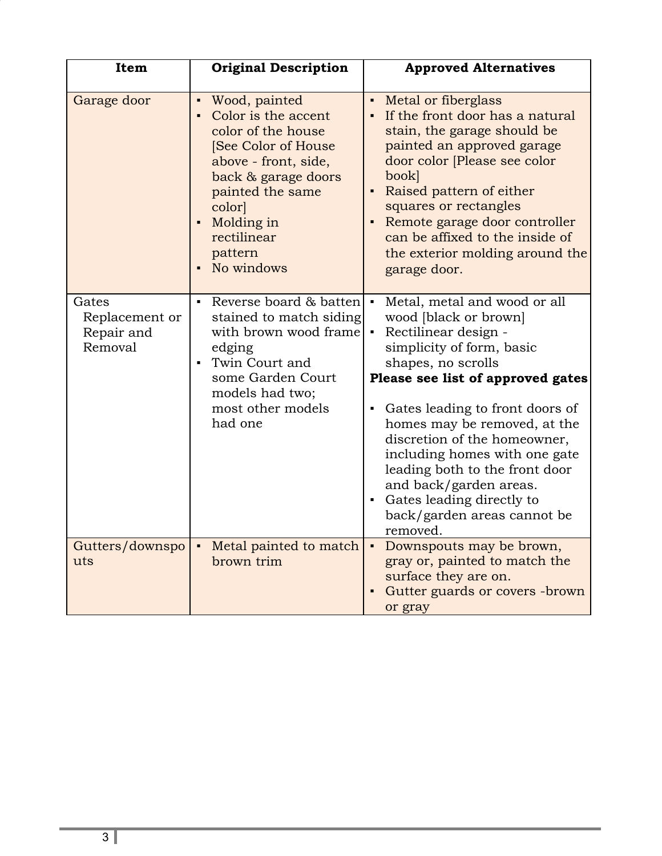| Item                                             | <b>Original Description</b>                                                                                                                                                                                           | <b>Approved Alternatives</b>                                                                                                                                                                                                                                                                                                                                                                                                                                      |
|--------------------------------------------------|-----------------------------------------------------------------------------------------------------------------------------------------------------------------------------------------------------------------------|-------------------------------------------------------------------------------------------------------------------------------------------------------------------------------------------------------------------------------------------------------------------------------------------------------------------------------------------------------------------------------------------------------------------------------------------------------------------|
| Garage door                                      | Wood, painted<br>Color is the accent<br>color of the house<br>[See Color of House<br>above - front, side,<br>back & garage doors<br>painted the same<br>color<br>Molding in<br>rectilinear<br>pattern<br>• No windows | Metal or fiberglass<br>$\blacksquare$<br>If the front door has a natural<br>stain, the garage should be<br>painted an approved garage<br>door color [Please see color<br>book<br>Raised pattern of either<br>squares or rectangles<br>Remote garage door controller<br>Ξ<br>can be affixed to the inside of<br>the exterior molding around the<br>garage door.                                                                                                    |
| Gates<br>Replacement or<br>Repair and<br>Removal | Reverse board & batten<br>stained to match siding<br>with brown wood frame<br>edging<br>Twin Court and<br>some Garden Court<br>models had two;<br>most other models<br>had one                                        | Metal, metal and wood or all<br>wood [black or brown]<br>Rectilinear design -<br>simplicity of form, basic<br>shapes, no scrolls<br>Please see list of approved gates<br>Gates leading to front doors of<br>$\blacksquare$<br>homes may be removed, at the<br>discretion of the homeowner,<br>including homes with one gate<br>leading both to the front door<br>and back/garden areas.<br>• Gates leading directly to<br>back/garden areas cannot be<br>removed. |
| Gutters/downspo<br>uts                           | Metal painted to match<br>brown trim                                                                                                                                                                                  | Downspouts may be brown,<br>$\blacksquare$<br>gray or, painted to match the<br>surface they are on.<br>Gutter guards or covers -brown<br>or gray                                                                                                                                                                                                                                                                                                                  |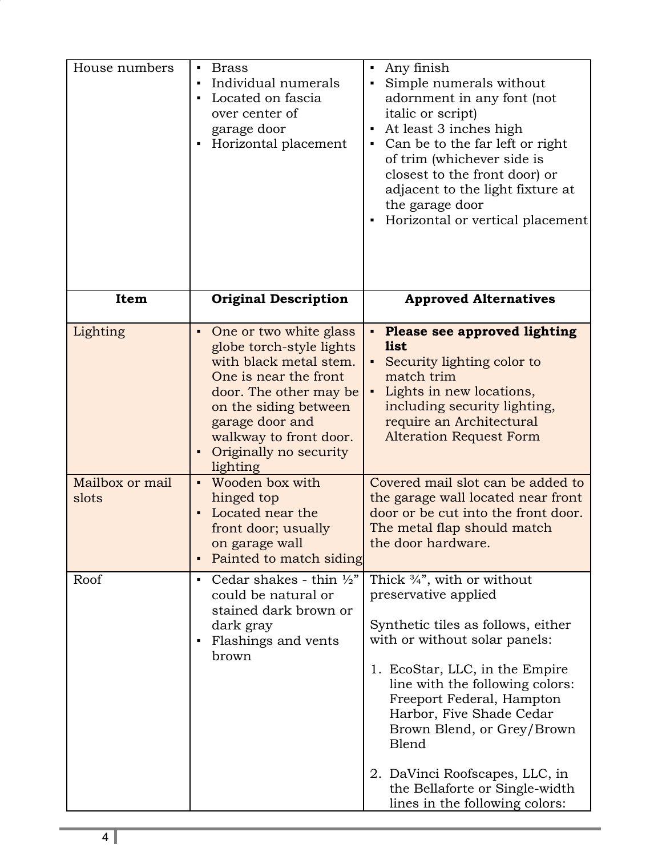| House numbers               | <b>Brass</b><br>$\blacksquare$<br>Individual numerals<br>Located on fascia<br>$\blacksquare$<br>over center of<br>garage door<br>Horizontal placement                                                                                                                            | Any finish<br>Е<br>Simple numerals without<br>adornment in any font (not<br>italic or script)<br>At least 3 inches high<br>Е<br>Can be to the far left or right<br>of trim (whichever side is<br>closest to the front door) or<br>adjacent to the light fixture at<br>the garage door<br>Horizontal or vertical placement                                                                                       |
|-----------------------------|----------------------------------------------------------------------------------------------------------------------------------------------------------------------------------------------------------------------------------------------------------------------------------|-----------------------------------------------------------------------------------------------------------------------------------------------------------------------------------------------------------------------------------------------------------------------------------------------------------------------------------------------------------------------------------------------------------------|
| Item                        | <b>Original Description</b>                                                                                                                                                                                                                                                      | <b>Approved Alternatives</b>                                                                                                                                                                                                                                                                                                                                                                                    |
| Lighting<br>Mailbox or mail | One or two white glass<br>$\blacksquare$<br>globe torch-style lights<br>with black metal stem.<br>One is near the front<br>door. The other may be<br>on the siding between<br>garage door and<br>walkway to front door.<br>Originally no security<br>lighting<br>Wooden box with | <b>Please see approved lighting</b><br>Ξ<br><b>list</b><br>Security lighting color to<br>match trim<br>Lights in new locations,<br>including security lighting,<br>require an Architectural<br><b>Alteration Request Form</b><br>Covered mail slot can be added to                                                                                                                                              |
| slots                       | hinged top<br>Located near the<br>front door; usually<br>on garage wall<br>Painted to match siding<br>п                                                                                                                                                                          | the garage wall located near front<br>door or be cut into the front door.<br>The metal flap should match<br>the door hardware.                                                                                                                                                                                                                                                                                  |
| Roof                        | Cedar shakes - thin $\frac{1}{2}$ "<br>$\blacksquare$<br>could be natural or<br>stained dark brown or<br>dark gray<br>Flashings and vents<br>л<br>brown                                                                                                                          | Thick $\frac{3}{4}$ , with or without<br>preservative applied<br>Synthetic tiles as follows, either<br>with or without solar panels:<br>1. EcoStar, LLC, in the Empire<br>line with the following colors:<br>Freeport Federal, Hampton<br>Harbor, Five Shade Cedar<br>Brown Blend, or Grey/Brown<br>Blend<br>2. DaVinci Roofscapes, LLC, in<br>the Bellaforte or Single-width<br>lines in the following colors: |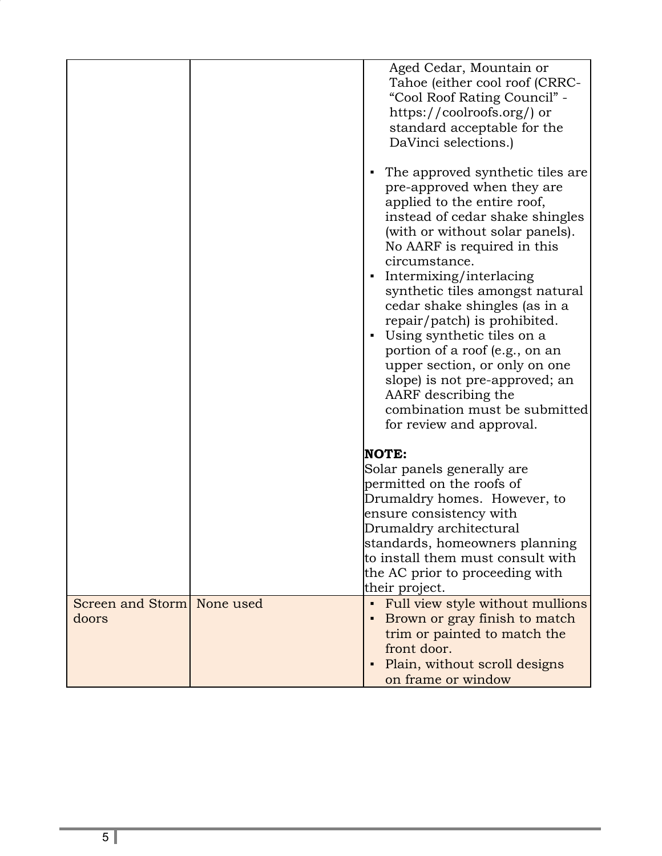|                                     | Aged Cedar, Mountain or<br>Tahoe (either cool roof (CRRC-<br>"Cool Roof Rating Council" -<br>https://coolroofs.org/) or<br>standard acceptable for the<br>DaVinci selections.)<br>The approved synthetic tiles are.<br>п<br>pre-approved when they are<br>applied to the entire roof,<br>instead of cedar shake shingles<br>(with or without solar panels).<br>No AARF is required in this<br>circumstance.<br>Intermixing/interlacing<br>٠ |
|-------------------------------------|---------------------------------------------------------------------------------------------------------------------------------------------------------------------------------------------------------------------------------------------------------------------------------------------------------------------------------------------------------------------------------------------------------------------------------------------|
|                                     | synthetic tiles amongst natural<br>cedar shake shingles (as in a<br>repair/patch) is prohibited.<br>Using synthetic tiles on a<br>portion of a roof (e.g., on an<br>upper section, or only on one<br>slope) is not pre-approved; an<br>AARF describing the<br>combination must be submitted<br>for review and approval.                                                                                                                     |
|                                     | <b>NOTE:</b><br>Solar panels generally are<br>permitted on the roofs of<br>Drumaldry homes. However, to<br>ensure consistency with<br>Drumaldry architectural<br>standards, homeowners planning<br>to install them must consult with<br>the AC prior to proceeding with<br>their project.                                                                                                                                                   |
| Screen and Storm None used<br>doors | Full view style without mullions<br>٠<br>Brown or gray finish to match<br>trim or painted to match the<br>front door.<br>Plain, without scroll designs<br>on frame or window                                                                                                                                                                                                                                                                |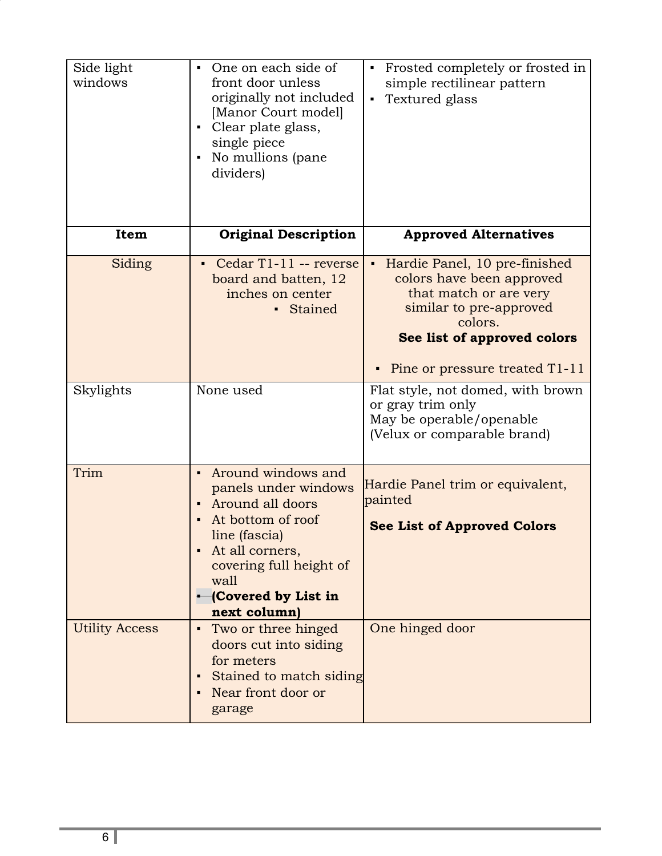| Side light<br>windows | One on each side of<br>$\blacksquare$<br>front door unless<br>originally not included<br>[Manor Court model]<br>Clear plate glass,<br>single piece<br>No mullions (pane<br>dividers)                    | Frosted completely or frosted in<br>$\blacksquare$<br>simple rectilinear pattern<br>Textured glass<br>$\blacksquare$                                                                             |
|-----------------------|---------------------------------------------------------------------------------------------------------------------------------------------------------------------------------------------------------|--------------------------------------------------------------------------------------------------------------------------------------------------------------------------------------------------|
| Item                  | <b>Original Description</b>                                                                                                                                                                             | <b>Approved Alternatives</b>                                                                                                                                                                     |
| Siding                | Cedar T1-11 -- reverse<br>board and batten, 12<br>inches on center<br>• Stained                                                                                                                         | Hardie Panel, 10 pre-finished<br>colors have been approved<br>that match or are very<br>similar to pre-approved<br>colors.<br>See list of approved colors<br>Pine or pressure treated T1-11<br>٠ |
| Skylights             | None used                                                                                                                                                                                               | Flat style, not domed, with brown<br>or gray trim only<br>May be operable/openable<br>(Velux or comparable brand)                                                                                |
| Trim                  | Around windows and<br>panels under windows<br>Around all doors<br>At bottom of roof<br>line (fascia)<br>At all corners,<br>covering full height of<br>wall<br><b>Covered by List in</b><br>next column) | Hardie Panel trim or equivalent,<br>painted<br><b>See List of Approved Colors</b>                                                                                                                |
| <b>Utility Access</b> | Two or three hinged<br>doors cut into siding<br>for meters<br>Stained to match siding<br>Near front door or<br>garage                                                                                   | One hinged door                                                                                                                                                                                  |